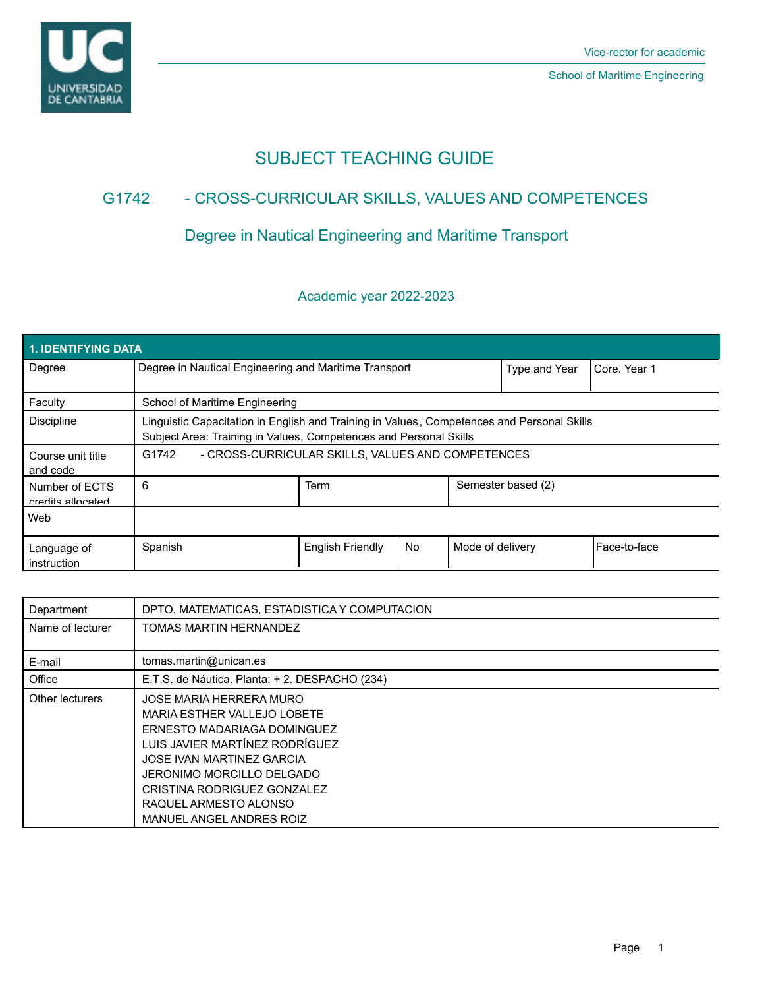

# SUBJECT TEACHING GUIDE

## G1742 - CROSS-CURRICULAR SKILLS, VALUES AND COMPETENCES

# Degree in Nautical Engineering and Maritime Transport

### Academic year 2022-2023

| <b>1. IDENTIFYING DATA</b>          |                                                                                                                                                                 |                         |    |                  |                    |                |  |  |
|-------------------------------------|-----------------------------------------------------------------------------------------------------------------------------------------------------------------|-------------------------|----|------------------|--------------------|----------------|--|--|
| Degree                              | Degree in Nautical Engineering and Maritime Transport                                                                                                           |                         |    |                  | Type and Year      | l Core. Year 1 |  |  |
| Faculty                             | School of Maritime Engineering                                                                                                                                  |                         |    |                  |                    |                |  |  |
| <b>Discipline</b>                   | Linguistic Capacitation in English and Training in Values, Competences and Personal Skills<br>Subject Area: Training in Values, Competences and Personal Skills |                         |    |                  |                    |                |  |  |
| Course unit title<br>and code       | - CROSS-CURRICULAR SKILLS, VALUES AND COMPETENCES<br>G1742                                                                                                      |                         |    |                  |                    |                |  |  |
| Number of ECTS<br>credits allocated | 6                                                                                                                                                               | Term                    |    |                  | Semester based (2) |                |  |  |
| Web                                 |                                                                                                                                                                 |                         |    |                  |                    |                |  |  |
| Language of<br>instruction          | Spanish                                                                                                                                                         | <b>English Friendly</b> | No | Mode of delivery |                    | Face-to-face   |  |  |

| Department       | DPTO. MATEMATICAS, ESTADISTICA Y COMPUTACION                                                                                                                                                                                                                          |  |
|------------------|-----------------------------------------------------------------------------------------------------------------------------------------------------------------------------------------------------------------------------------------------------------------------|--|
| Name of lecturer | TOMAS MARTIN HERNANDEZ                                                                                                                                                                                                                                                |  |
|                  |                                                                                                                                                                                                                                                                       |  |
| E-mail           | tomas.martin@unican.es                                                                                                                                                                                                                                                |  |
| Office           | E.T.S. de Náutica. Planta: + 2. DESPACHO (234)                                                                                                                                                                                                                        |  |
| Other lecturers  | JOSE MARIA HERRERA MURO<br>MARIA ESTHER VALLEJO LOBETE<br>ERNESTO MADARIAGA DOMINGUEZ<br>LUIS JAVIER MARTÍNEZ RODRÍGUEZ<br>JOSE IVAN MARTINEZ GARCIA<br>JERONIMO MORCILLO DELGADO<br>CRISTINA RODRIGUEZ GONZALEZ<br>RAQUEL ARMESTO ALONSO<br>MANUEL ANGEL ANDRES ROIZ |  |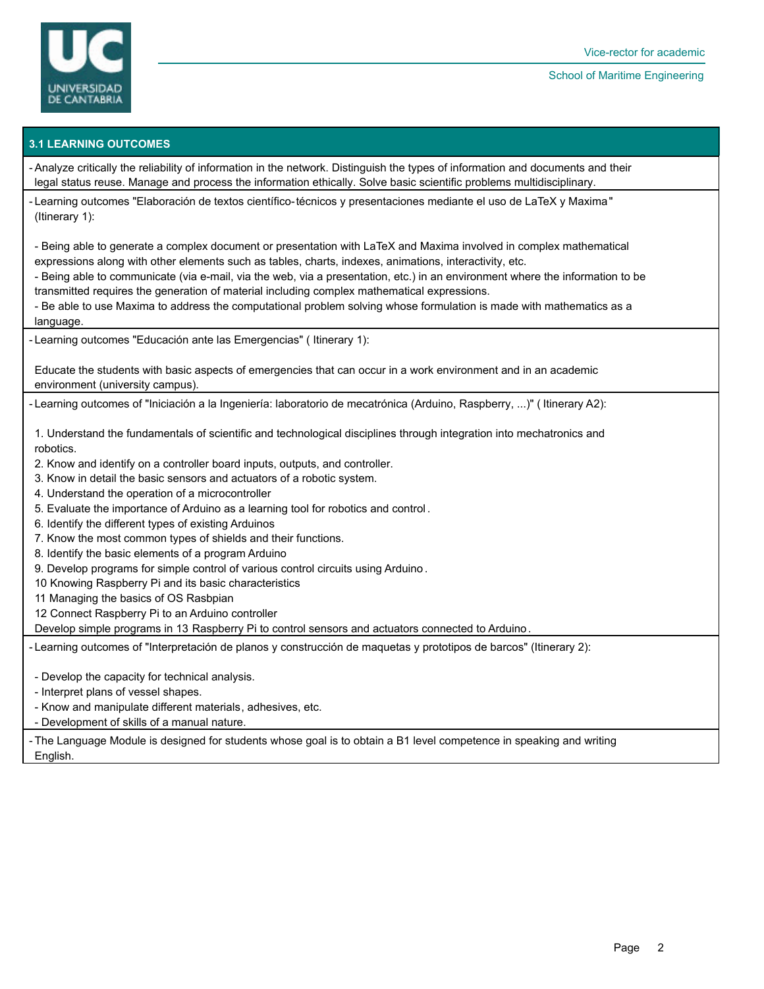

#### School of Maritime Engineering

#### **3.1 LEARNING OUTCOMES**

- Analyze critically the reliability of information in the network. Distinguish the types of information and documents and their legal status reuse. Manage and process the information ethically. Solve basic scientific problems multidisciplinary.

- Learning outcomes "Elaboración de textos científico-técnicos y presentaciones mediante el uso de LaTeX y Maxima" (Itinerary 1):

- Being able to generate a complex document or presentation with LaTeX and Maxima involved in complex mathematical expressions along with other elements such as tables, charts, indexes, animations, interactivity, etc.

- Being able to communicate (via e-mail, via the web, via a presentation, etc.) in an environment where the information to be transmitted requires the generation of material including complex mathematical expressions.

- Be able to use Maxima to address the computational problem solving whose formulation is made with mathematics as a language.

Learning outcomes "Educación ante las Emergencias" ( Itinerary 1): -

Educate the students with basic aspects of emergencies that can occur in a work environment and in an academic environment (university campus).

- Learning outcomes of "Iniciación a la Ingeniería: laboratorio de mecatrónica (Arduino, Raspberry, ...)" ( Itinerary A2):

1. Understand the fundamentals of scientific and technological disciplines through integration into mechatronics and robotics.

- 2. Know and identify on a controller board inputs, outputs, and controller.
- 3. Know in detail the basic sensors and actuators of a robotic system.
- 4. Understand the operation of a microcontroller
- 5. Evaluate the importance of Arduino as a learning tool for robotics and control .
- 6. Identify the different types of existing Arduinos
- 7. Know the most common types of shields and their functions.
- 8. Identify the basic elements of a program Arduino
- 9. Develop programs for simple control of various control circuits using Arduino .
- 10 Knowing Raspberry Pi and its basic characteristics
- 11 Managing the basics of OS Rasbpian

12 Connect Raspberry Pi to an Arduino controller

Develop simple programs in 13 Raspberry Pi to control sensors and actuators connected to Arduino.

- Learning outcomes of "Interpretación de planos y construcción de maquetas y prototipos de barcos" (Itinerary 2):

- Develop the capacity for technical analysis.

- Interpret plans of vessel shapes.
- Know and manipulate different materials, adhesives, etc.
- Development of skills of a manual nature.

- The Language Module is designed for students whose goal is to obtain a B1 level competence in speaking and writing English.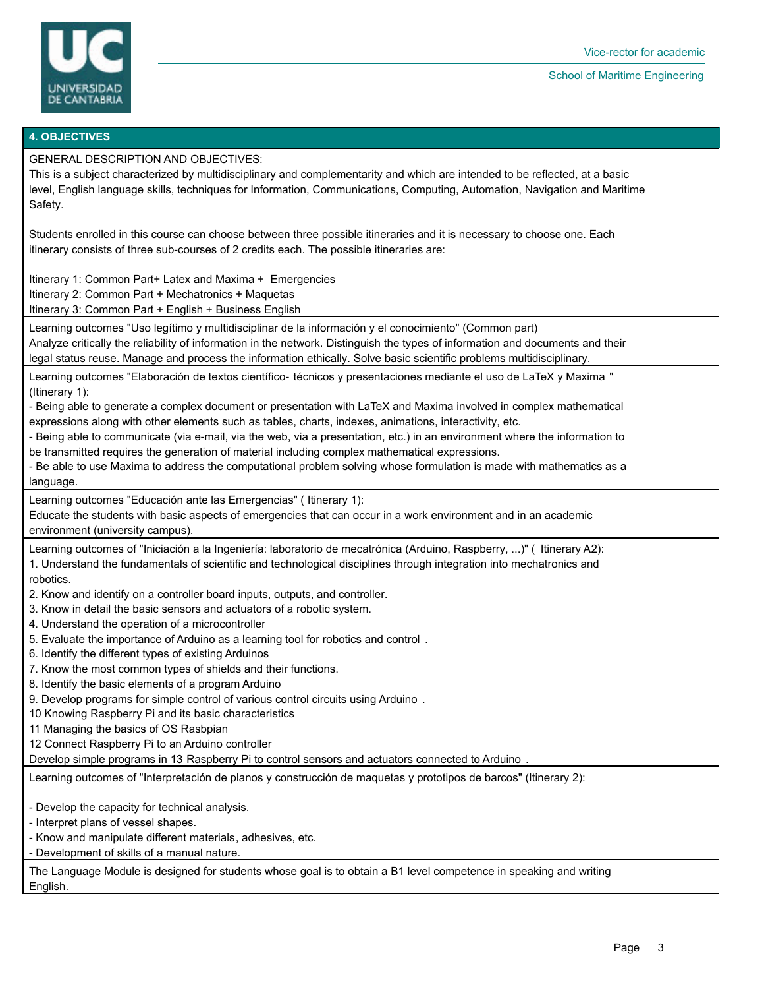

#### School of Maritime Engineering

#### **4. OBJECTIVES**

GENERAL DESCRIPTION AND OBJECTIVES:

This is a subject characterized by multidisciplinary and complementarity and which are intended to be reflected, at a basic level, English language skills, techniques for Information, Communications, Computing, Automation, Navigation and Maritime Safety.

Students enrolled in this course can choose between three possible itineraries and it is necessary to choose one. Each itinerary consists of three sub-courses of 2 credits each. The possible itineraries are:

Itinerary 1: Common Part+ Latex and Maxima + Emergencies

Itinerary 2: Common Part + Mechatronics + Maquetas

Itinerary 3: Common Part + English + Business English

Learning outcomes "Uso legítimo y multidisciplinar de la información y el conocimiento" (Common part) Analyze critically the reliability of information in the network. Distinguish the types of information and documents and their legal status reuse. Manage and process the information ethically. Solve basic scientific problems multidisciplinary.

Learning outcomes "Elaboración de textos científico- técnicos y presentaciones mediante el uso de LaTeX y Maxima " (Itinerary 1):

- Being able to generate a complex document or presentation with LaTeX and Maxima involved in complex mathematical expressions along with other elements such as tables, charts, indexes, animations, interactivity, etc.

- Being able to communicate (via e-mail, via the web, via a presentation, etc.) in an environment where the information to be transmitted requires the generation of material including complex mathematical expressions.

- Be able to use Maxima to address the computational problem solving whose formulation is made with mathematics as a language.

Learning outcomes "Educación ante las Emergencias" ( Itinerary 1):

Educate the students with basic aspects of emergencies that can occur in a work environment and in an academic environment (university campus).

Learning outcomes of "Iniciación a la Ingeniería: laboratorio de mecatrónica (Arduino, Raspberry, ...)" ( Itinerary A2):

1. Understand the fundamentals of scientific and technological disciplines through integration into mechatronics and

robotics.

2. Know and identify on a controller board inputs, outputs, and controller.

3. Know in detail the basic sensors and actuators of a robotic system.

- 4. Understand the operation of a microcontroller
- 5. Evaluate the importance of Arduino as a learning tool for robotics and control .
- 6. Identify the different types of existing Arduinos
- 7. Know the most common types of shields and their functions.
- 8. Identify the basic elements of a program Arduino

9. Develop programs for simple control of various control circuits using Arduino .

10 Knowing Raspberry Pi and its basic characteristics

- 11 Managing the basics of OS Rasbpian
- 12 Connect Raspberry Pi to an Arduino controller

Develop simple programs in 13 Raspberry Pi to control sensors and actuators connected to Arduino .

Learning outcomes of "Interpretación de planos y construcción de maquetas y prototipos de barcos" (Itinerary 2):

- Develop the capacity for technical analysis.

- Interpret plans of vessel shapes.
- Know and manipulate different materials, adhesives, etc.
- Development of skills of a manual nature.

The Language Module is designed for students whose goal is to obtain a B1 level competence in speaking and writing English.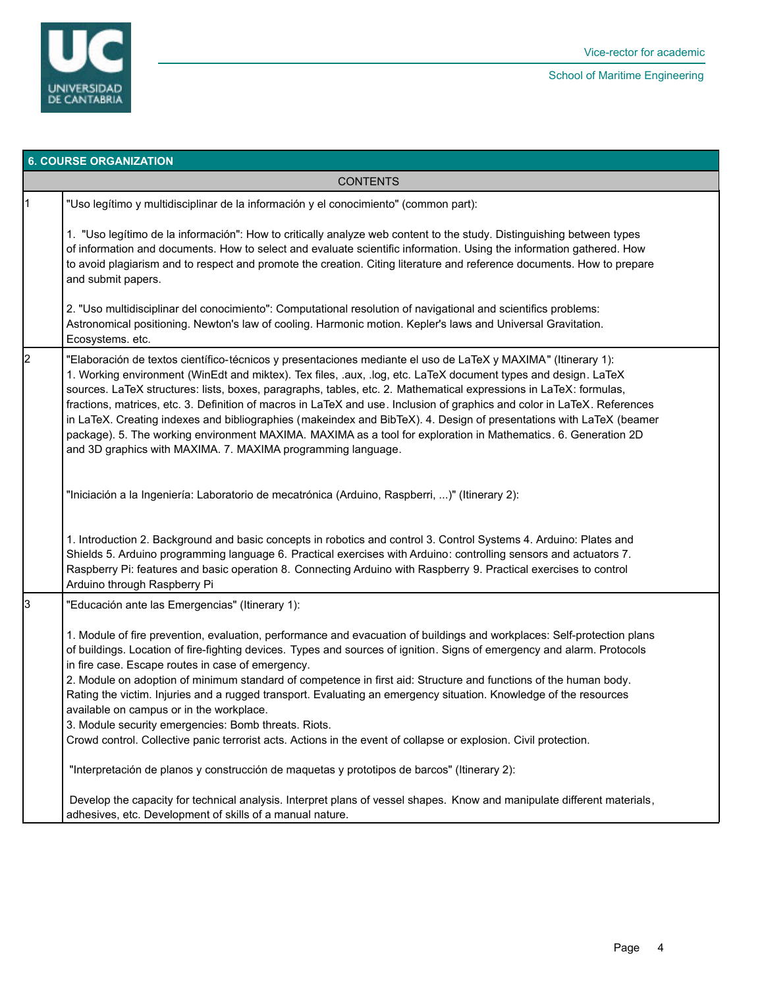

|                 | <b>6. COURSE ORGANIZATION</b>                                                                                                                                                                                                                                                                                                                                                                                                                                                                                                                                                                                                                                                                                                                                                             |  |  |  |  |
|-----------------|-------------------------------------------------------------------------------------------------------------------------------------------------------------------------------------------------------------------------------------------------------------------------------------------------------------------------------------------------------------------------------------------------------------------------------------------------------------------------------------------------------------------------------------------------------------------------------------------------------------------------------------------------------------------------------------------------------------------------------------------------------------------------------------------|--|--|--|--|
| <b>CONTENTS</b> |                                                                                                                                                                                                                                                                                                                                                                                                                                                                                                                                                                                                                                                                                                                                                                                           |  |  |  |  |
| 11              | "Uso legítimo y multidisciplinar de la información y el conocimiento" (common part):                                                                                                                                                                                                                                                                                                                                                                                                                                                                                                                                                                                                                                                                                                      |  |  |  |  |
|                 | 1. "Uso legítimo de la información": How to critically analyze web content to the study. Distinguishing between types<br>of information and documents. How to select and evaluate scientific information. Using the information gathered. How<br>to avoid plagiarism and to respect and promote the creation. Citing literature and reference documents. How to prepare<br>and submit papers.                                                                                                                                                                                                                                                                                                                                                                                             |  |  |  |  |
|                 | 2. "Uso multidisciplinar del conocimiento": Computational resolution of navigational and scientifics problems:<br>Astronomical positioning. Newton's law of cooling. Harmonic motion. Kepler's laws and Universal Gravitation.<br>Ecosystems. etc.                                                                                                                                                                                                                                                                                                                                                                                                                                                                                                                                        |  |  |  |  |
| 2               | "Elaboración de textos científico-técnicos y presentaciones mediante el uso de LaTeX y MAXIMA" (Itinerary 1):<br>1. Working environment (WinEdt and miktex). Tex files, .aux, .log, etc. LaTeX document types and design. LaTeX<br>sources. LaTeX structures: lists, boxes, paragraphs, tables, etc. 2. Mathematical expressions in LaTeX: formulas,<br>fractions, matrices, etc. 3. Definition of macros in LaTeX and use. Inclusion of graphics and color in LaTeX. References<br>in LaTeX. Creating indexes and bibliographies (makeindex and BibTeX). 4. Design of presentations with LaTeX (beamer<br>package). 5. The working environment MAXIMA. MAXIMA as a tool for exploration in Mathematics. 6. Generation 2D<br>and 3D graphics with MAXIMA. 7. MAXIMA programming language. |  |  |  |  |
|                 | "Iniciación a la Ingeniería: Laboratorio de mecatrónica (Arduino, Raspberri, )" (Itinerary 2):                                                                                                                                                                                                                                                                                                                                                                                                                                                                                                                                                                                                                                                                                            |  |  |  |  |
|                 | 1. Introduction 2. Background and basic concepts in robotics and control 3. Control Systems 4. Arduino: Plates and<br>Shields 5. Arduino programming language 6. Practical exercises with Arduino: controlling sensors and actuators 7.<br>Raspberry Pi: features and basic operation 8. Connecting Arduino with Raspberry 9. Practical exercises to control<br>Arduino through Raspberry Pi                                                                                                                                                                                                                                                                                                                                                                                              |  |  |  |  |
| 3               | "Educación ante las Emergencias" (Itinerary 1):                                                                                                                                                                                                                                                                                                                                                                                                                                                                                                                                                                                                                                                                                                                                           |  |  |  |  |
|                 | 1. Module of fire prevention, evaluation, performance and evacuation of buildings and workplaces: Self-protection plans<br>of buildings. Location of fire-fighting devices. Types and sources of ignition. Signs of emergency and alarm. Protocols<br>in fire case. Escape routes in case of emergency.<br>2. Module on adoption of minimum standard of competence in first aid: Structure and functions of the human body.<br>Rating the victim. Injuries and a rugged transport. Evaluating an emergency situation. Knowledge of the resources<br>available on campus or in the workplace.<br>3. Module security emergencies: Bomb threats. Riots.<br>Crowd control. Collective panic terrorist acts. Actions in the event of collapse or explosion. Civil protection.                  |  |  |  |  |
|                 | "Interpretación de planos y construcción de maquetas y prototipos de barcos" (Itinerary 2):                                                                                                                                                                                                                                                                                                                                                                                                                                                                                                                                                                                                                                                                                               |  |  |  |  |
|                 | Develop the capacity for technical analysis. Interpret plans of vessel shapes. Know and manipulate different materials,<br>adhesives, etc. Development of skills of a manual nature.                                                                                                                                                                                                                                                                                                                                                                                                                                                                                                                                                                                                      |  |  |  |  |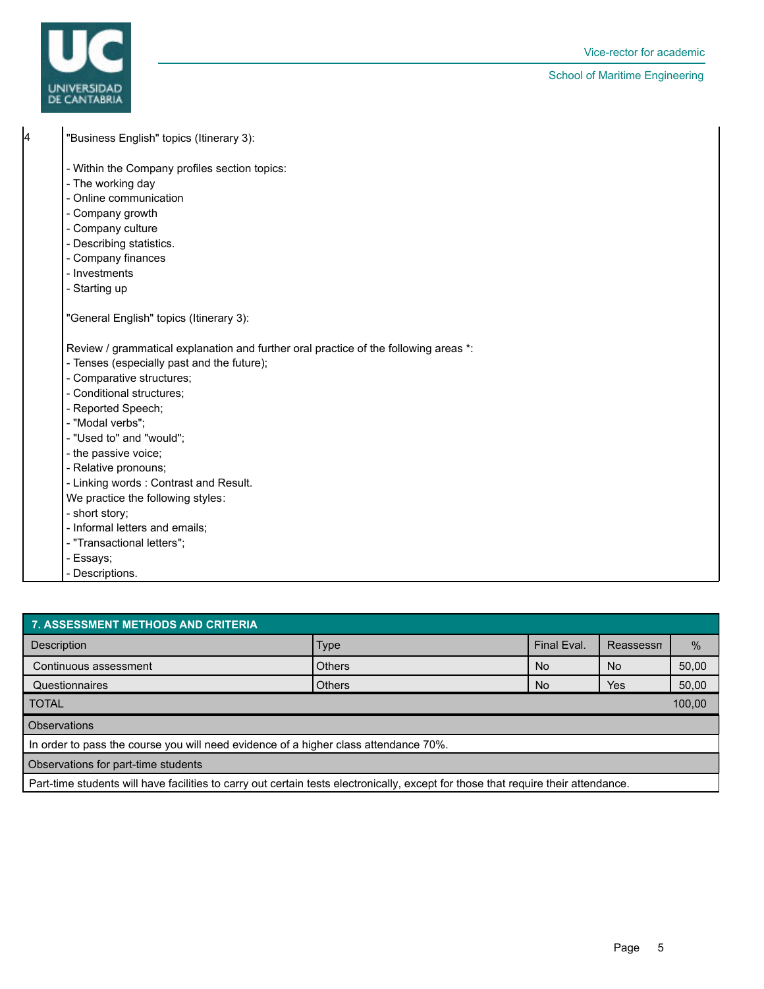

School of Maritime Engineering

| 4 | "Business English" topics (Itinerary 3):                                             |
|---|--------------------------------------------------------------------------------------|
|   | - Within the Company profiles section topics:                                        |
|   | - The working day                                                                    |
|   | - Online communication                                                               |
|   | - Company growth                                                                     |
|   | - Company culture                                                                    |
|   | - Describing statistics.                                                             |
|   | - Company finances                                                                   |
|   | - Investments                                                                        |
|   | - Starting up                                                                        |
|   | "General English" topics (Itinerary 3):                                              |
|   | Review / grammatical explanation and further oral practice of the following areas *: |
|   | - Tenses (especially past and the future);                                           |
|   | - Comparative structures;                                                            |
|   | - Conditional structures;                                                            |
|   | - Reported Speech;                                                                   |
|   | - "Modal verbs":                                                                     |
|   | - "Used to" and "would";                                                             |
|   | - the passive voice;                                                                 |
|   | - Relative pronouns;                                                                 |
|   | - Linking words: Contrast and Result.                                                |
|   | We practice the following styles:                                                    |
|   | - short story;                                                                       |
|   | - Informal letters and emails;                                                       |
|   | - "Transactional letters";                                                           |
|   | - Essays;                                                                            |
|   | - Descriptions.                                                                      |

| 7. ASSESSMENT METHODS AND CRITERIA                                                                                                 |               |             |           |       |  |  |  |
|------------------------------------------------------------------------------------------------------------------------------------|---------------|-------------|-----------|-------|--|--|--|
| Description                                                                                                                        | <b>Type</b>   | Final Eval. | Reassessn | $\%$  |  |  |  |
| Continuous assessment                                                                                                              | <b>Others</b> | <b>No</b>   | No.       | 50,00 |  |  |  |
| Questionnaires                                                                                                                     | <b>Others</b> | No.         | Yes       | 50,00 |  |  |  |
| 100,00<br><b>TOTAL</b>                                                                                                             |               |             |           |       |  |  |  |
| <b>Observations</b>                                                                                                                |               |             |           |       |  |  |  |
| In order to pass the course you will need evidence of a higher class attendance 70%.                                               |               |             |           |       |  |  |  |
| Observations for part-time students                                                                                                |               |             |           |       |  |  |  |
| Part-time students will have facilities to carry out certain tests electronically, except for those that require their attendance. |               |             |           |       |  |  |  |